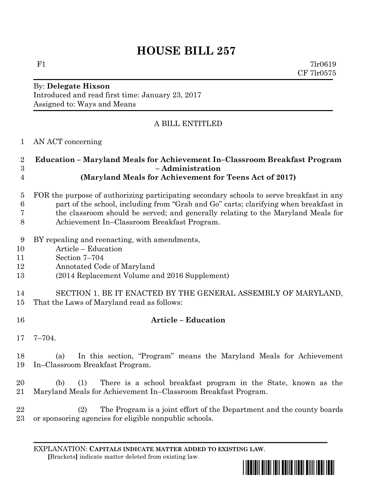# **HOUSE BILL 257**

F1 7lr0619 CF 7lr0575

#### By: **Delegate Hixson** Introduced and read first time: January 23, 2017 Assigned to: Ways and Means

## A BILL ENTITLED

AN ACT concerning

#### **Education – Maryland Meals for Achievement In–Classroom Breakfast Program – Administration (Maryland Meals for Achievement for Teens Act of 2017)**

- FOR the purpose of authorizing participating secondary schools to serve breakfast in any part of the school, including from "Grab and Go" carts; clarifying when breakfast in the classroom should be served; and generally relating to the Maryland Meals for Achievement In–Classroom Breakfast Program.
- BY repealing and reenacting, with amendments,
- Article Education
- Section 7–704
- Annotated Code of Maryland
- (2014 Replacement Volume and 2016 Supplement)
- SECTION 1. BE IT ENACTED BY THE GENERAL ASSEMBLY OF MARYLAND, That the Laws of Maryland read as follows:
- **Article – Education**
- 7–704.

 (a) In this section, "Program" means the Maryland Meals for Achievement In–Classroom Breakfast Program.

 (b) (1) There is a school breakfast program in the State, known as the Maryland Meals for Achievement In–Classroom Breakfast Program.

 (2) The Program is a joint effort of the Department and the county boards or sponsoring agencies for eligible nonpublic schools.

EXPLANATION: **CAPITALS INDICATE MATTER ADDED TO EXISTING LAW**.  **[**Brackets**]** indicate matter deleted from existing law.

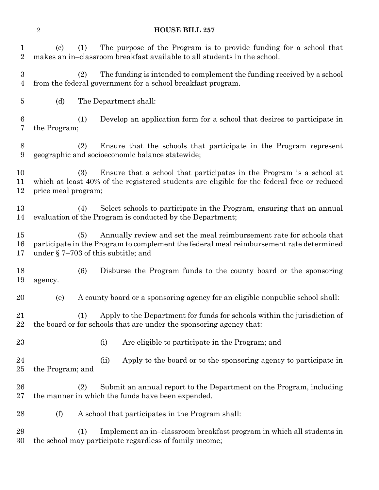### **HOUSE BILL 257**

| 1<br>$\overline{2}$                | $\left( \mathrm{c}\right)$<br>(1)                                                                                                                                                                                | The purpose of the Program is to provide funding for a school that<br>makes an in-classroom breakfast available to all students in the school.  |
|------------------------------------|------------------------------------------------------------------------------------------------------------------------------------------------------------------------------------------------------------------|-------------------------------------------------------------------------------------------------------------------------------------------------|
| $\boldsymbol{3}$<br>$\overline{4}$ | (2)                                                                                                                                                                                                              | The funding is intended to complement the funding received by a school<br>from the federal government for a school breakfast program.           |
| 5                                  | (d)                                                                                                                                                                                                              | The Department shall:                                                                                                                           |
| 6<br>7                             | (1)<br>the Program;                                                                                                                                                                                              | Develop an application form for a school that desires to participate in                                                                         |
| 8<br>9                             | (2)                                                                                                                                                                                                              | Ensure that the schools that participate in the Program represent<br>geographic and socioeconomic balance statewide;                            |
| 10<br>11<br>12                     | (3)<br>Ensure that a school that participates in the Program is a school at<br>which at least 40% of the registered students are eligible for the federal free or reduced<br>price meal program;                 |                                                                                                                                                 |
| 13<br>14                           | (4)                                                                                                                                                                                                              | Select schools to participate in the Program, ensuring that an annual<br>evaluation of the Program is conducted by the Department;              |
| 15<br>16<br>17                     | Annually review and set the meal reimbursement rate for schools that<br>(5)<br>participate in the Program to complement the federal meal reimbursement rate determined<br>under $\S$ 7–703 of this subtitle; and |                                                                                                                                                 |
| 18<br>19                           | (6)<br>agency.                                                                                                                                                                                                   | Disburse the Program funds to the county board or the sponsoring                                                                                |
| 20                                 | (e)                                                                                                                                                                                                              | A county board or a sponsoring agency for an eligible nonpublic school shall:                                                                   |
| 21<br>22                           | (1)                                                                                                                                                                                                              | Apply to the Department for funds for schools within the jurisdiction of<br>the board or for schools that are under the sponsoring agency that: |
| 23                                 |                                                                                                                                                                                                                  | Are eligible to participate in the Program; and<br>(i)                                                                                          |
| 24<br>25                           | the Program; and                                                                                                                                                                                                 | Apply to the board or to the sponsoring agency to participate in<br>(ii)                                                                        |
| 26<br>$27\,$                       | Submit an annual report to the Department on the Program, including<br>(2)<br>the manner in which the funds have been expended.                                                                                  |                                                                                                                                                 |
| 28                                 | (f)                                                                                                                                                                                                              | A school that participates in the Program shall:                                                                                                |
| 29<br>30                           | (1)                                                                                                                                                                                                              | Implement an in-classroom breakfast program in which all students in<br>the school may participate regardless of family income;                 |